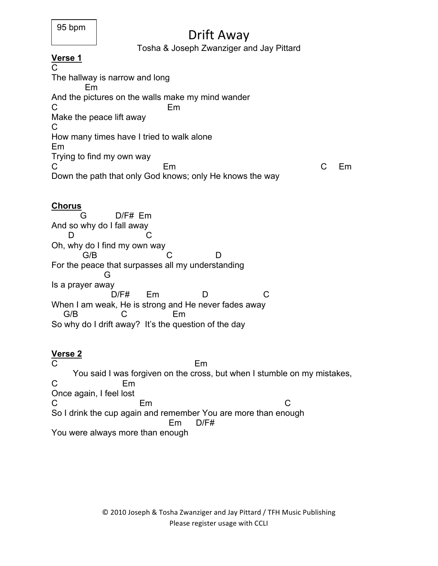# Drift Away

#### Tosha & Joseph Zwanziger and Jay Pittard

## **Verse 1**

C The hallway is narrow and long Em And the pictures on the walls make my mind wander C<sub>2</sub> Em Make the peace lift away C How many times have I tried to walk alone Em Trying to find my own way C Em C Em Down the path that only God knows; only He knows the way

#### **Chorus**

 G D/F# Em And so why do I fall away D C Oh, why do I find my own way G/B C D For the peace that surpasses all my understanding G Is a prayer away D/F# Em D C When I am weak, He is strong and He never fades away G/B C Em So why do I drift away? It's the question of the day

### **Verse 2**

C<sub>2</sub> Em You said I was forgiven on the cross, but when I stumble on my mistakes, C Em Once again, I feel lost C Em C So I drink the cup again and remember You are more than enough Em D/F# You were always more than enough

> © 2010 Joseph & Tosha Zwanziger and Jay Pittard / TFH Music Publishing Please register usage with CCLI